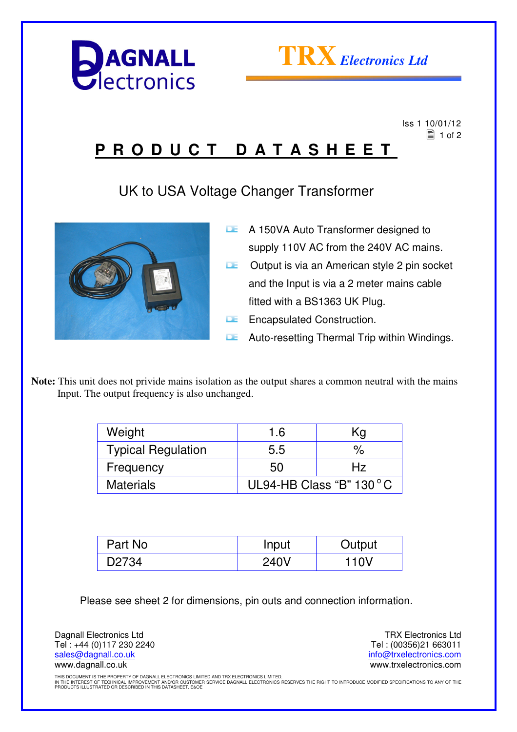



Iss 1 10/01/12

## $\equiv$  1 of 2 **P R O D U C T D A T A S H E E T**

UK to USA Voltage Changer Transformer



- **A 150VA Auto Transformer designed to** supply 110V AC from the 240V AC mains.  $\Box$  Output is via an American style 2 pin socket and the Input is via a 2 meter mains cable fitted with a BS1363 UK Plug.
- **E** Encapsulated Construction.
- **LE** Auto-resetting Thermal Trip within Windings.

**Note:** This unit does not privide mains isolation as the output shares a common neutral with the mains Input. The output frequency is also unchanged.

| Weight                    | 1.6                      | Kg   |
|---------------------------|--------------------------|------|
| <b>Typical Regulation</b> | 5.5                      | $\%$ |
| Frequency                 | 50                       | Hz   |
| <b>Materials</b>          | UL94-HB Class "B" 130 °C |      |

| Part No | Input | Output |
|---------|-------|--------|
| D2734   | 240V  | 110V   |

Please see sheet 2 for dimensions, pin outs and connection information.

Dagnall Electronics Ltd Tel : +44 (0)117 230 2240 sales@dagnall.co.uk www.dagnall.co.uk

TRX Electronics Ltd Tel : (00356)21 663011 info@trxelectronics.com www.trxelectronics.com

THIS DOCUMENT IS THE PROPERTY OF DAGNALL ELECTRONICS LIMITED AND TRX ELECTRONICS LIMITED.<br>IN THE INTEREST OF TECHNICAL IMPROVEMENT AND/OR CUSTOMER SERVICE DAGNALL ELECTRONICS RESERVES THE RIGHT TO INTRODUCE MODIFIED SPECIF PRODUCTS ILLUSTRATED OR DESCRIBED IN THIS DATASHEET. E&OE